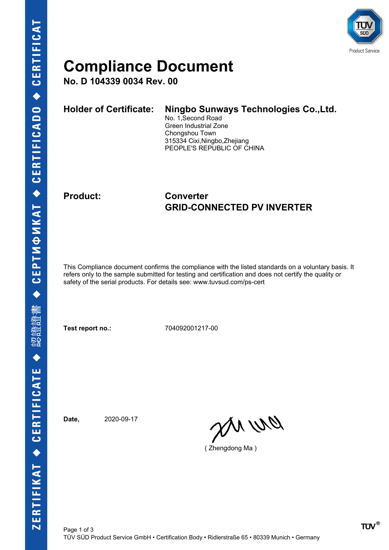

### **Compliance Document**

**No. D 104339 0034 Rev. 00**

| <b>Holder of Certificate:</b> | Ningbo Sunways Technologies Co., Ltd.<br>No. 1, Second Road<br>Green Industrial Zone<br>Chongshou Town<br>315334 Cixi, Ningbo, Zhejiang |
|-------------------------------|-----------------------------------------------------------------------------------------------------------------------------------------|
|                               | PEOPLE'S REPUBLIC OF CHINA                                                                                                              |

### **Product: Converter GRID-CONNECTED PV INVERTER**

This Compliance document confirms the compliance with the listed standards on a voluntary basis. It refers only to the sample submitted for testing and certification and does not certify the quality or safety of the serial products. For details see: www.tuvsud.com/ps-cert

**Test report no.:** 704092001217-00

**Date,** 2020-09-17

an wa

( Zhengdong Ma )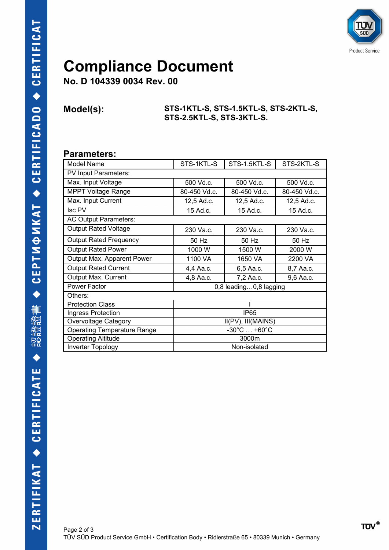

## **Compliance Document**

**No. D 104339 0034 Rev. 00**

**Model(s): STS-1KTL-S, STS-1.5KTL-S, STS-2KTL-S, STS-2.5KTL-S, STS-3KTL-S.**

#### **Parameters:**

| Model Name                         | STS-1KTL-S                       | STS-1.5KTL-S | STS-2KTL-S   |  |  |
|------------------------------------|----------------------------------|--------------|--------------|--|--|
| PV Input Parameters:               |                                  |              |              |  |  |
| Max. Input Voltage                 | 500 Vd.c.                        | 500 Vd.c.    | 500 Vd.c.    |  |  |
| <b>MPPT Voltage Range</b>          | 80-450 Vd.c.                     | 80-450 Vd.c. | 80-450 Vd.c. |  |  |
| Max. Input Current                 | 12,5 Ad.c.                       | 12,5 Ad.c.   | 12,5 Ad.c.   |  |  |
| Isc PV                             | 15 Ad.c.                         | 15 Ad.c.     | 15 Ad.c.     |  |  |
| AC Output Parameters:              |                                  |              |              |  |  |
| <b>Output Rated Voltage</b>        | 230 Va.c.                        | 230 Va.c.    | 230 Va.c.    |  |  |
| <b>Output Rated Frequency</b>      | 50 Hz                            | 50 Hz        | 50 Hz        |  |  |
| <b>Output Rated Power</b>          | 1000W                            | 1500 W       | 2000 W       |  |  |
| Output Max. Apparent Power         | 1100 VA                          | 1650 VA      | 2200 VA      |  |  |
| <b>Output Rated Current</b>        | 4,4 Aa.c.                        | 6,5 Aa.c.    | 8,7 Aa.c.    |  |  |
| Output Max. Current                | 4,8 Aa.c.                        | 7,2 Aa.c.    | 9,6 Aa.c.    |  |  |
| Power Factor                       | 0,8 leading0,8 lagging           |              |              |  |  |
| Others:                            |                                  |              |              |  |  |
| <b>Protection Class</b>            |                                  |              |              |  |  |
| Ingress Protection                 | <b>IP65</b>                      |              |              |  |  |
| Overvoltage Category               | II(PV), III(MAINS)               |              |              |  |  |
| <b>Operating Temperature Range</b> | $-30^{\circ}$ C $ +60^{\circ}$ C |              |              |  |  |
| <b>Operating Altitude</b>          | 3000m                            |              |              |  |  |
| <b>Inverter Topology</b>           | Non-isolated                     |              |              |  |  |